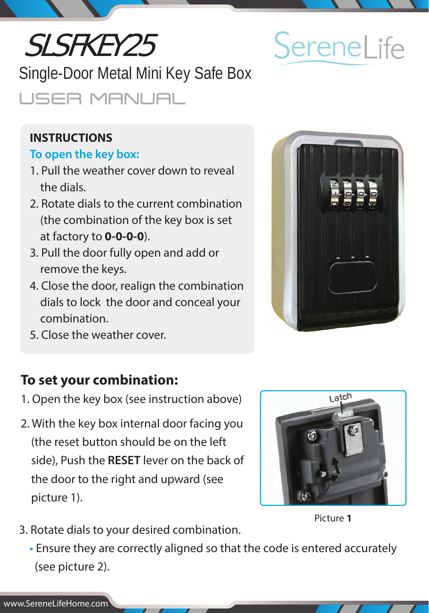# Single-Door Metal Mini Key Safe Box

**USER MANUAL** 

### **INSTRUCTIONS**

### **To open the key box:**

SLSFKEY25

- 1. Pull the weather cover down to reveal the dials.
- 2. Rotate dials to the current combination (the combination of the key box is set at factory to **0-0-0-0**).
- 3. Pull the door fully open and add or remove the keys.
- 4. Close the door, realign the combination dials to lock the door and conceal your combination.
- 5. Close the weather cover.

# **To set your combination:**

- 1. Open the key box (see instruction above)
- 2. With the key box internal door facing you (the reset button should be on the left side), Push the **RESET** lever on the back of the door to the right and upward (see picture 1).
- 3. Rotate dials to your desired combination.
	- **•** Ensure they are correctly aligned so that the code is entered accurately (see picture 2).







# SereneLife